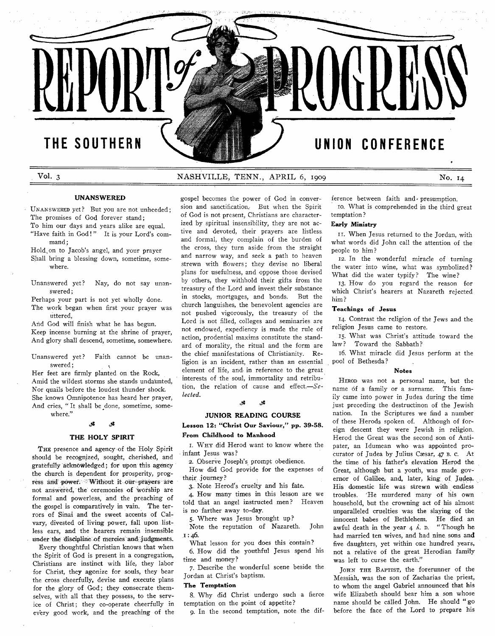# THE SOUTHERN

# UNION CONFERENCE

### Vol. 3

### NASHVILLE, TENN., APRIL 6, 1909

No. 14

### **UNANSWERED**

UNANSWERED yet? But you are not unheeded; The promises of God forever stand; To him our days and years alike are equal. "Have faith in God!" It is your Lord's com-

mand; Hold on to Jacob's angel, and your prayer Shall bring a blessing down, sometime, somewhere.

Unanswered yet? Nay, do not say unanswered;

Perhaps your part is not yet wholly done.

The work began when first your prayer was uttered,

And God will finish what he has begun. Keep incense burning at the shrine of prayer, And glory shall descend, sometime, somewhere.

Unanswered yet? Faith cannot be unanswered:

Her feet are firmly planted on the Rock, A mid the wildest storms she stands undaunted, Nor quails before the loudest thunder shock. She knows Omnipotence has heard her prayer, And cries, "It shall be done, sometime, somewhere."

### **0**\* *Jt*

### **THE HOLY SPIRIT**

THE presence and agency of the Holy Spirit should be recognjzed, sought, cherished, and gratefully acknowledged; for upon this agency the church is dependent for prosperity, progress and power. Without it our prayers are not answered, the ceremonies of worship are formal and powerless, and the preaching of the gospel is comparatively in vain. The terrors of Sinai and the sweet accents of Calvary, divested of living power, fall upon listless ears, and the hearers remain insensible under the discipline of mercies and judgments.

Every thoughtful Christian knows that when the Spirit of God is present in a congregation, Christians are instinct with life, they labor for Christ, they agonize for souls, they bear the cross cheerfully, devise and execute plans for the glory of God; they consecrate themselves, with all that they possess, to the service of Christ; they co-operate cheerfully in every good work, and the preaching of the

gospel becomes the power of God in conversion and sanctification. But when the Spirit of God is not present, Christians are characterized by spiritual insensibility, they are not active and devoted, their prayers are listless and formal, they complain of the burden of the cross, they turn aside from the straight and narrow way, and seek a path to heaven strewn with flowers; they devise no liberal plans for usefulness, and oppose those devised by others, they withhold their gifts from the treasury of the Lord and invest their substance in stocks, mortgages, and bonds. But the church languishes, the benevolent agencies are not pushed vigorously, the treasury of the Lord is not filled, colleges and seminaries are not endowed, expediency is made the rule of action, prodential maxims constitute the standard of morality, the ritual and the form are the chief manifestations of Christianity. Religion is an incident, rather than an essential element of life, and in reference to the great interests of the soul, immortality and retribution, the relation of cause and effect. $-Se$ *lected.*

#### . st **پ**

### **JUNIOR READING COURSE**

**Lesson 12: " Christ Our Saviour," pp. 39-58. From Childhood to Manhood**

1. WHY did Herod want to know where the infant Jesus was?

2. Observe Joseph's prompt obedience.

How did God provide for the expenses of their journey?

3. Note Herod's cruelty and his fate.

4. How many times in this lesson are we told that an angel instructed men? Heaven is no farther away to-day.

5. Where was Jesus brought up?

Note the reputation of Nazareth. John ,1:46.

What lesson for you does this contain?

6. How did the youthful Jesus spend his time and money?

7. Describe the wonderful scene beside the Jordan at Christ's baptism.

### **The Temptation**

8. Why did Christ undergo such a fierce temptation on the point of appetite?

*g.* In the second tem ptation, note the dif-

ference between faith and presumption. 10. What is comprehended in the third great

temptation?

### **Early Ministry**

11. When Jesus returned to the Jordan, with what words did John call the attention of the people to him ?

12. In the wonderful miracle of turning the water into wine, what was symbolized? What did the water typify? The wine?

13. How do you regard the reason for which Christ's hearers at Nazareth rejected him ?

### **Teachings of Jesus**

14. Contrast the religion of the Jews and the religion Jesus came to restore.

15. What was Christ's attitude toward the law? Toward the Sabbath?

16. What miracle did Jesus perform at the pool of Bethesda?

### **Notes**

HEROD was not a personal name, but the name of a family or a surname. This family came into power in Judea during the time just preceding the destructinon of the Jewish nation. In the Scriptures we find a number of these Herods spoken of. Although of foreign descent they were Jewish in religion. Herod the Great was the second son of Antipater, an Idumean who was appointed procurator of Judea by Julius Cæsar, 47 B. c. At the time of his father's elevation Herod the Great, although but a youth, was made governor of Galilee, and, later, king of Judea. His domestic life was strewn with endless troubles. 'He murdered many of his own household, but the crowning act of his almost unparalleled cruelties was the slaying of the innocent babes of Bethlehem. He died an aw ful death in the year  $4 \text{ Å. } n$ . "Though he had married ten wives, and had nine sons and five daughters, yet within one hundred years, not a relative of the great Herodian family was left to curse the earth."

JOHN THE BAPTIST, the forerunner of the Messiah, was the son of Zacharias the priest, to whom the angel Gabriel announced that his wife Elizabeth should bear him a son whose name should be called John. He should "go before the face of the Lord to prepare his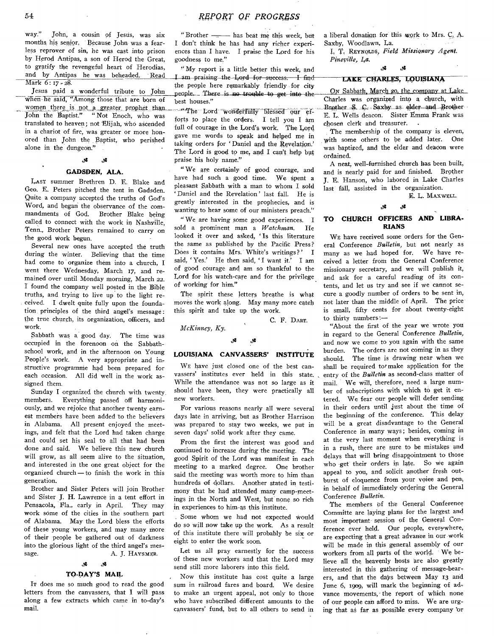way." John, a cousin of Jesus, was six months his senior. Because John was a fearless reprover of sin, he was cast into prison by Herod Antipas, a son of Herod the Great, to gratify the revengeful heart of Herodias, and by Antipas he was beheaded. Read Mark 6: 17 - 28.

Jesus paid a wonderful tribute to John when he said, "Among those that are born of women there is not a greater prophet than<br>John the Baptist." "Not Enoch, who was "Not Enoch, who was translated to heaven; not Elijah, who ascended in a chariot of fire, was greater or more honored than John the Baptist, who perished alone in the dungeon."

#### Å. ی.

### **GADSDEN, ALA.**

LAST summer Brethren D. E. Blake and Geo. E. Peters pitched the tent in Gadsden. Quite a company accepted the truths of God's Word, and began the observance of the commandments of God. Brother Blake being called to connect with the work in Nashyille, Tenn., Brother Peters remained to carry on the good work begun.

Several new ones have accepted the truth during the winter. Believing that the time had come to organize them into a church, I went there Wednesday, March 17, and remained over until Monday morning, March 22. I found the company well posted in the Bible truths, and trying to live up to the light received. I dwelt quite fully upon the foundation principles of the third angel's message: the true church, its organization, officers, and work.

Sabbath was a good day. The time was occupied in the forenoon on the Sabbathschool work, and in the afternoon on Young People's work. A very appropriate and instructive programme had been prepared for each occasion. All did well in the work assigned them.

Sunday I organized the church with twenty, members. Everything passed off harmoniously, and we rejoice that another twenty earnest members have been added to the believers in Alabama. All present enjoyed the meetings, and felt that the Lord had taken charge and could set his seal to all that had been done and said. We believe this new church will grow, as all seem alive to the situation, and interested in the one great object for the organized church — to finish the work in this generation.

Brother and Sister Peters will join Brother and Sister J. H. Lawrence in a tent effort in Pensacola, Fla., early in April. They may work some of the cities in the southern part of Alabama. May the Lord bless the efforts of these young workers, and may many more of their people be gathered out of darkness into the glorious light of the third angel's message. A. J. HAYSMER.

## *St St*

### **TO-DAY'S MAIL**

Ir does me so much good to read the good letters from the canvassers, that  $I$  will pass along a few extracts which came in to-day's mail.

"Brother —— has beat me this week, but I don't think he has had any richer experiences than I have. I praise the Lord for his goodness to me."

"My report is a little better this week, and I am praising the Lord for success. I find the people here remarkably friendly for city people. There is no trouble to get into thebest houses."

"The Lord wonderfully blessed our efforts to place the orders. I tell you I am full of courage in the Lord's work. The Lord gave me words to speak and helped me in taking orders for 'Daniel and the Revelation.' The Lord is good to me, and I can't help but praise his holy name."

" We are certainly of good courage, and have had such a good time. We spent a pleasant Sabbath with a man to whom I sold Daniel and the Revelation' last fall. He is greatly interested in the prophecies, and is wanting to hear some of our ministers preach."

" We are having some good experiences. I sold a prominent man a Watchman. He looked it over and asked, ' Is this literature the same as published by the Pacific Press? Does it contains Mrs. White's writings?' I said, 'Yes.' He then said, 'I want it.' I am of good courage and am so thankful to the Lord for his watch-care and for the privilege of working for him."

The spirit these letters breathe is what moves the work along. May many more catch this spirit and take up the work.

C. F. DART.

 $McKinney$ , Ky.

### الات کلان

### **LOUISIANA CANVASSERS' INSTITUTE**

WE have just closed one of the best canvassers' institutes ever held in this state. While the attendance was not so large as it should have been, they were practically all new workers.

For various reasons nearly all were several days late in arriving, but as Brother Harrison was prepared to stay two weeks, we put in seven days' solid work after they came.

From the first the interest was good and continued to increase during the meeting. The good Spirit of the Lord was manifest in each meeting to a marked degree. One brother said the meeting was worth more to him than hundreds of dollars. Another stated in testimony that he had attended many camp-meetings in the North and West, but none so rich in experiences to him-as this institute.

Some whom we had not expected would do so will now take up the work. As a result of this institute there will probably be six or eight to enter the work soon.

Let us all pray earnestly for the success of these new workers and that the Lord may send still more laborers into this field.

Now this institute has cost quite a large sum in railroad fares and board. We desire to make an urgent appeal, not only to those who have subscribed different amounts to the canvassers' fund, but to all others to send in

a liberal donation for this work to Mrs.  $C_1$  A. Saxby, Woodlawn, La.

I. T. REYNOLDS, Field Missionary Agent. *Pineville, I,a.*

### *S i Si*

### **LAKE CHARLES, LQUISIANA**

On Sabbath, March 20, the company at Lake Charles was organized into a church, with Brother S. C. Saxby as elder and Brother E. L. Wells deacon. Sister Emma Frank was chosen clerk and treasurer.

The membership of the company is eleven, with some others to be added later. One was baptized, and the elder and deacon were ordained.

A neat, well-furnished church has been built, and is nearly paid for and finished. Brother J. E. Hanson, who labored in Lake Charles last fall, assisted in the organization.

E. L. MAXWELL.

### *S i S i*

### **TO CHURCH OFFICERS AND LIBRA-RIANS**

WE have received some orders for the General Conference *Bulletin*, but not nearly as many as we had hoped for. We have received a letter from the General Conference missionary secretary, and we will publish it, and ask for a careful reading of its contents, and let us try and see if we cannot secure a goodly number of orders to be sent in, not later than the middle of April. The price is small, fifty cents for about twenty-eight to thirty numbers:-

"About the first of the year we wrote you in regard to the General Conference *Bulletin*, and now we come to you again with the same burden. The orders are not coming in as they should. The time is drawing near when we shall be required to make application for the entry of the *Bulletin* as second-class matter of mail. We will, therefore, need a large number of subscriptions with which to get it entered. We fear our people will defer sending in their orders until just about the time of the beginning of the conference. This delay will be a great disadvantage to the General Conference in many ways; besides, coming in at the very last moment when everything is in a rush, there are sure to be mistakes and delays that will bring disappointment to those who get their orders in late. So we again appeal to you, and solicit another fresh outburst of eloquence from your voice and pen, in behalf of immediately ordering the General Conference *Bulletin*.

The members of the General Conference Committe are laying plans for the largest and most important session of the General Conference ever held. Our people, everywhere, are expecting that a great advance in our work will be made in this general assembly of our workers from all parts of the world. We believe all the heavenly hosts are also greatly interested in this gathering of message-bearers, and that the days between May 13 and June 6, 1909, will mark the beginning of advance movements, the report of which none of our people can afford to miss. We are urging that as far as possible every company or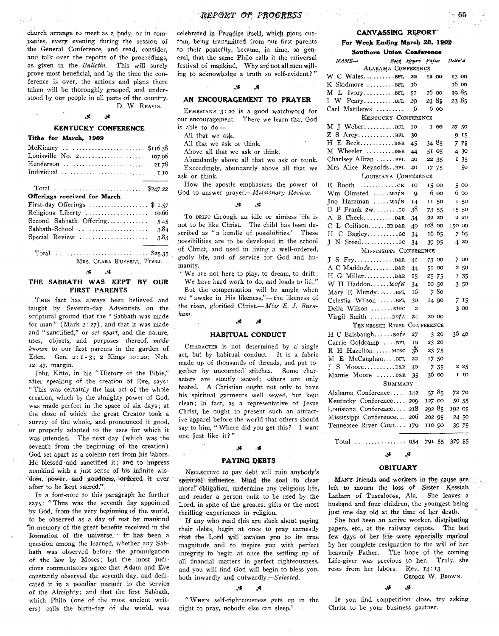church arrange to meet as a body, or in companies, every evening during the session of the General Conference, and read, consider. and talk over the reports of the proceedings, as given in the *Bulletin*. This will surely prove most beneficial, and by the time the conference is over, the actions and plans there taken will be thoroughly grasped, and understood by our people in all parts of the country. D. W. REAVIS.

### **KENTUCKY CONFERENCE**

### Tithe for March, 1909

| McKinney  \$116.38            |        |
|-------------------------------|--------|
| Louisville No. $2$            | 107.06 |
| Henderson                     | 21.78  |
| Individual                    | 1.10   |
| Total  \$247.22               |        |
|                               |        |
| Offerings received for March  |        |
| First-day Offerings \$ $1.57$ |        |
| Religious Liberty             | 10.66  |
| Second Sabbath Offering       | 5.45   |
|                               | 3.84   |
| Special Review                | 3.83   |
| Total   \$25.35               |        |

MRS. CLARA RUSSELL. Treas.

### <u>له.</u>

### THE SABBATH WAS KEPT BY OUR **FIRST PARENTS**

THIS fact has always been believed and taught by Seventh-day Adventists on the scriptural ground that the "Sabbath was made for man" (Mark  $2:27$ ), and that it was made and "sanctified," or set apart, and the nature, uses, objects, and purposes thereof, made known to our first parents in the garden of Eden. Gen. 2: 1-3; 2 Kings 10: 20; Neh. 12:47, margin.

John Kitto, in his "History of the Bible," after speaking of the creation of Eve. says: "This was certainly the last act of the whole creation, which by the almighty power of God, was made perfect in the space of six days; at the close of which the great Creator took a survey of the whole, and pronounced it good, or properly adapted to the uses for which it was intended. The next day (which was the seventh from the beginning of the creation) God set apart as a solemn rest from his labors. He blessed and sanctified it; and to impress mankind with a just sense of his infinite wisdom, power, and goodness, ordered it ever after to be kept sacred.".

In a foot-note to this paragraph he further says: "Thus was the seventh day appointed by God, from the very beginning of the world, to be observed as a day of rest by mankind in memory of the great benefits received in the formation of the universe. It has been a question among the learned, whether any Sabbath was observed before the promulgation of the law by Moses; but the most judicious commentators agree that Adam and Eve constantly observed the seventh day, and dedicated it in a peculiar manner to the service of the Almighty; and that the first Sabbath, which Philo (one of the most ancient writers) calls the birth-day of the world, was celebrated in Paradise itself, which pious custom, being transmitted from our first parents to their posterity became, in time, so general, that the same Philo calls it the universal festival of mankind. Why are not all men willing to acknowledge a truth so self-evident?"

#### .st <u>يو.</u>

### AN ENCOURAGEMENT TO PRAYER

EPHESIANS  $3:20$  is a good watchword for our encouragement. There we learn that God is able to  $do$  -

All that we ask.

All that we ask or think.

Above all that we ask or think.

Abundantly above all that we ask or think. Exceedingly, abundantly above all that we ask or think.

How the apostle emphasizes the power of God to answer prayer.-Missionary Review.

#### s. 2د.

To DRIFT through an idle or aimless life is not to be like Christ. The child has been described as "a bundle of possibilities." These possibilities are to be developed in the school of Christ, and used in living a well-ordered, godly life, and of service for God and humanity.

"We are not here to play, to dream, to drift;

We have hard work to do, and loads to lift." But the compensation will be ample when we "awake in His likeness,"-the likeness of the risen, glorified Christ.- Miss E. J. Burnham.

#### J. وي.

### **HABITUAL CONDUCT**

CHARACTER is not determined by a single act, but by habitual conduct. It is a fabric made up of thousands of threads, and put together by uncounted stitches. Some characters are stoutly sewed; others are only basted. A Christian ought not only to have his spiritual garments well sewed, but kept clean: in fact, as a representative of Tesus Christ, he ought to present such an attractive apparel before the world that others should say to him, "Where did you get this? I want one just like it?"

### . st

### **PAYING DEBTS**

NEGLECTING to pay debt will ruin anybody's spiritual influence, blind the soul to clear moral obligation, undermine any religious life, and render a person unfit to be used by the Lord, in spite of the greatest gifts or the most thrilling experiences in religion.

If any who read this are slack about paying their debts, begin at once to pray earnestly that the Lord will awaken you to its true magnitude and to inspire you with perfect integrity to begin at once the settling up of all financial matters in perfect righteousness, and you will find God will begin to bless you, both inwardly and outwardly.-Selected.

#### $\mathcal{S}$  $\bullet$

"WHEN self-righteousness gets up in the night to pray, nobody else can sleep."

### CANVASSING REPORT

### For Week Ending March 20, 1909 **Southern Union Conference**

| ээчшегн өнгөн а                                   | بعدى |        |           |          |       |  |
|---------------------------------------------------|------|--------|-----------|----------|-------|--|
| Book Hours<br>$NAME-$                             |      | Value  |           | Deliv' d |       |  |
| ALABAMA CONFERENCE                                |      |        |           |          |       |  |
| W C WalesBFL                                      | 20   | 12 00  |           | 13 00    |       |  |
| K Skidmore BFL                                    | 36   |        |           | 16 00    |       |  |
| $M$ L Ivory                                       | 51   | 16 QQ  |           | 19 85    |       |  |
| I W PearyBFL                                      | 29   | 2385   |           | 23 85    |       |  |
| Carl Matthews                                     | 6    |        | $6\omega$ |          |       |  |
| <b>KENTUCKY CONFERENCE</b>                        |      |        |           |          |       |  |
| $M$ J Weber $BFL$                                 | 10   |        | I 00      | 27 50    |       |  |
|                                                   | 30   |        |           |          | 915   |  |
|                                                   | 45   | 3485   |           |          | 775   |  |
|                                                   |      |        |           |          |       |  |
| M Wheeler D&R                                     | 44   | 51 05  |           |          | 4 30  |  |
| Charlsey Allran BFL                               | 40   | 22 35  |           |          | I 35  |  |
| Mrs Alice Reynolds. BFL                           | 40   | 17 75  |           |          | 50    |  |
| LOUISIANA CONFERENCE                              |      |        |           |          |       |  |
| $\ldots \ldots \ldots \ldots$ . CK<br>E Booth     | 10   | 15 00  |           |          | 5 00  |  |
| Wm Olmsted  MofN                                  | 9    | 6 00   |           |          | 6 00  |  |
| Jno Harzman  Mof N                                | Ĭ4   | 11 50  |           |          | 150   |  |
|                                                   | 38   | 73 55  |           | 15 50    |       |  |
|                                                   | 34   | 22 20  |           |          | 2 20  |  |
| C L CollisonBRD&R                                 | 49   | 108 00 |           | 150 00   |       |  |
| н с<br>$Bagley. \ldots \ldots$                    | 34   | 16 65  |           |          | 765   |  |
| L                                                 | 34   | 39 95  |           |          | 4 20  |  |
| MISSISSIPPI CONFERENCE                            |      |        |           |          |       |  |
|                                                   |      |        |           |          | 700   |  |
|                                                   | 41   | 73 00  |           |          |       |  |
|                                                   | 44   | 51 00  |           |          | 250   |  |
| $H$ G Miller $B\&R$                               | 15   | 25 75  |           |          | I 35  |  |
| W H Haddon MofN                                   | 34   | 10 50  |           |          | 3 50  |  |
| Mary E MundyBFL                                   | 16   |        | 7 80      |          |       |  |
| Celestia Wilson BFL                               | 30   |        | 14 90     |          | 7 15  |  |
| Delia Wilson stoc                                 | 2    |        |           |          | 3 00  |  |
| Virgil Smith  DofA                                | 24   | 20 00  |           |          |       |  |
| TENNESSEE RIVER CONFERENCE                        |      |        |           |          |       |  |
| H C Balsbaughsofp                                 | 27   |        | 3 20      | 3640     |       |  |
| Carrie Goldcamp BFL                               | IQ   | 23 20  |           |          |       |  |
| R H HazeltonMISC                                  | 36   | 23 75  |           |          |       |  |
| M E McCaughanBFL                                  | 22   | 17 50  |           |          |       |  |
|                                                   | 40   |        | 735       |          | 2 25  |  |
| Mamie Moore D&R                                   | 35   | 36 00  |           | 1        | 10    |  |
| SUMMARY                                           |      |        |           |          |       |  |
| Alabama Conference                                | 142  | 5785   |           | 72 70    |       |  |
| Kentucky Conference 209                           |      | 127 00 |           |          | 50 55 |  |
| Louisiana Conference 218                          |      | 29285  |           | 192 05   |       |  |
|                                                   |      |        |           |          |       |  |
| Mississippi Conference 206                        |      | 202 95 |           |          | 24 50 |  |
| Tennessee River Conf                              | 179  | 110 90 |           | 39 75    |       |  |
| $\mathrm{T}$ otal $\mathrm{I}$<br>. <b>.</b><br>. | 054  | 791 55 |           | 379 55   |       |  |

### .st

### **OBITUARY**

MANY friends and workers in the cause are left to mourn the loss of Sister Kessiah Latham of Tuscaloosa, Ala. She leaves a husband and four children, the youngest being just one day old at the time of her death.

She had been an active worker, distributing papers, etc., at the railway depots. The last few days of her life were especially marked by her complete resignation to the will of her heavenly Father. The hope of the coming Life-giver was precious to her. Truly, she rests from her labors. Rev. 14:13.

GEORGE W. BROWN.

If you find competition close, try asking Christ to be your business partner.